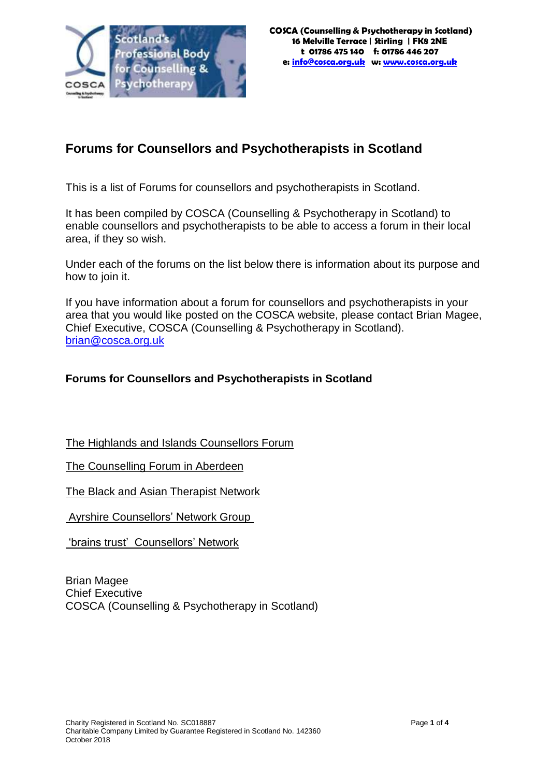

# **Forums for Counsellors and Psychotherapists in Scotland**

This is a list of Forums for counsellors and psychotherapists in Scotland.

It has been compiled by COSCA (Counselling & Psychotherapy in Scotland) to enable counsellors and psychotherapists to be able to access a forum in their local area, if they so wish.

Under each of the forums on the list below there is information about its purpose and how to join it.

If you have information about a forum for counsellors and psychotherapists in your area that you would like posted on the COSCA website, please contact Brian Magee, Chief Executive, COSCA (Counselling & Psychotherapy in Scotland). [brian@cosca.org.uk](mailto:brian@cosca.org.uk)

#### **Forums for Counsellors and Psychotherapists in Scotland**

The Highlands and Islands Counsellors Forum

The Counselling Forum in Aberdeen

The Black and Asian Therapist Network

Ayrshire Counsellors' Network Group

'brains trust' Counsellors' Network

Brian Magee Chief Executive COSCA (Counselling & Psychotherapy in Scotland)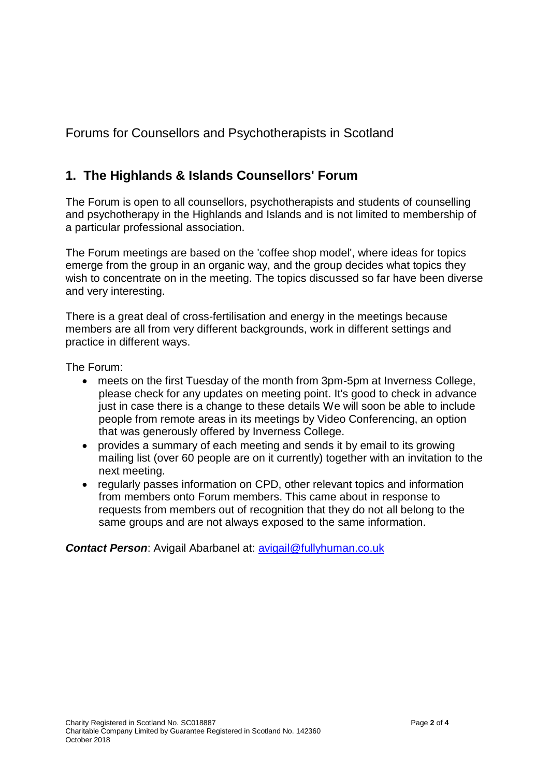Forums for Counsellors and Psychotherapists in Scotland

# **1. The Highlands & Islands Counsellors' Forum**

The Forum is open to all counsellors, psychotherapists and students of counselling and psychotherapy in the Highlands and Islands and is not limited to membership of a particular professional association.

The Forum meetings are based on the 'coffee shop model', where ideas for topics emerge from the group in an organic way, and the group decides what topics they wish to concentrate on in the meeting. The topics discussed so far have been diverse and very interesting.

There is a great deal of cross-fertilisation and energy in the meetings because members are all from very different backgrounds, work in different settings and practice in different ways.

The Forum:

- meets on the first Tuesday of the month from 3pm-5pm at Inverness College, please check for any updates on meeting point. It's good to check in advance just in case there is a change to these details We will soon be able to include people from remote areas in its meetings by Video Conferencing, an option that was generously offered by Inverness College.
- provides a summary of each meeting and sends it by email to its growing mailing list (over 60 people are on it currently) together with an invitation to the next meeting.
- regularly passes information on CPD, other relevant topics and information from members onto Forum members. This came about in response to requests from members out of recognition that they do not all belong to the same groups and are not always exposed to the same information.

*Contact Person*: Avigail Abarbanel at: [avigail@fullyhuman.co.uk](mailto:avigail@fullyhuman.co.uk)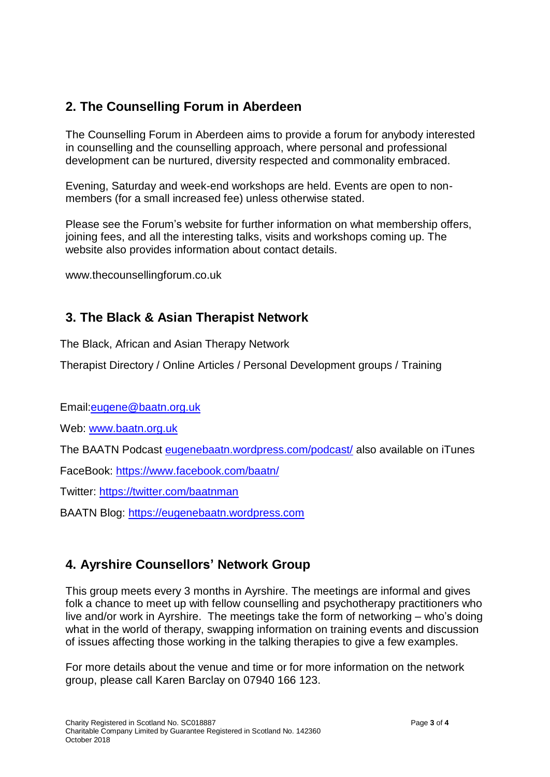### **2. The Counselling Forum in Aberdeen**

The Counselling Forum in Aberdeen aims to provide a forum for anybody interested in counselling and the counselling approach, where personal and professional development can be nurtured, diversity respected and commonality embraced.

Evening, Saturday and week-end workshops are held. Events are open to nonmembers (for a small increased fee) unless otherwise stated.

Please see the Forum's website for further information on what membership offers, joining fees, and all the interesting talks, visits and workshops coming up. The website also provides information about contact details.

[www.thecounsellingforum.co.uk](http://www.thecounsellingforum.co.uk/)

#### **3. The Black & Asian Therapist Network**

The Black, African and Asian Therapy Network

Therapist Directory / Online Articles / Personal Development groups / Training

Email[:eugene@baatn.org.uk](mailto:eugene@baatn.org.uk)

Web: [www.baatn.org.uk](http://www.baatn.org.uk/)

The BAATN Podcast [eugenebaatn.wordpress.com/podcast/](http://eugenebaatn.wordpress.com/podcast/) also available on iTunes

FaceBook:<https://www.facebook.com/baatn/>

Twitter:<https://twitter.com/baatnman>

BAATN Blog: [https://eugenebaatn.wordpress.com](https://eugenebaatn.wordpress.com/)

## **4. Ayrshire Counsellors' Network Group**

This group meets every 3 months in Ayrshire. The meetings are informal and gives folk a chance to meet up with fellow counselling and psychotherapy practitioners who live and/or work in Ayrshire. The meetings take the form of networking – who's doing what in the world of therapy, swapping information on training events and discussion of issues affecting those working in the talking therapies to give a few examples.

For more details about the venue and time or for more information on the network group, please call Karen Barclay on 07940 166 123.